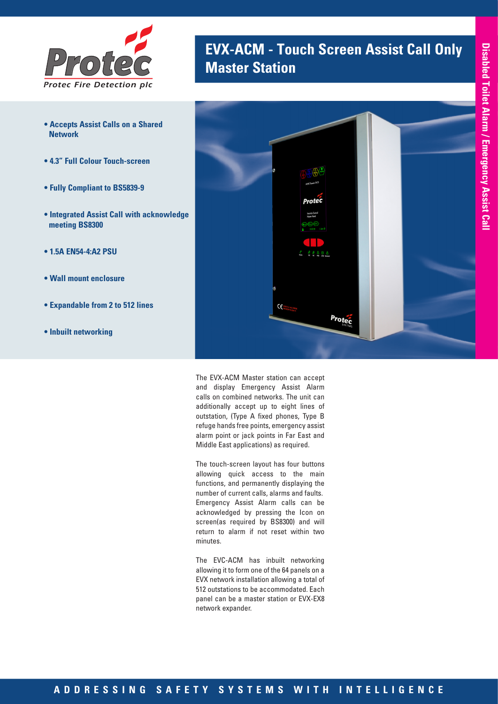

- **Accepts Assist Calls on a Shared Network**
- **4.3" Full Colour Touch-screen**
- **Fully Compliant to BS5839-9**
- **Integrated Assist Call with acknowledge meeting BS8300**
- **1.5A EN54-4:A2 PSU**
- **Wall mount enclosure**
- **Expandable from 2 to 512 lines**
- **Inbuilt networking**





The EVX-ACM Master station can accept and display Emergency Assist Alarm calls on combined networks. The unit can additionally accept up to eight lines of outstation, (Type A fixed phones, Type B refuge hands free points, emergency assist alarm point or jack points in Far East and Middle East applications) as required.

The touch-screen layout has four buttons allowing quick access to the main functions, and permanently displaying the number of current calls, alarms and faults. Emergency Assist Alarm calls can be acknowledged by pressing the Icon on screen(as required by BS8300) and will return to alarm if not reset within two minutes.

The EVC-ACM has inbuilt networking allowing it to form one of the 64 panels on a EVX network installation allowing a total of 512 outstations to be accommodated. Each panel can be a master station or EVX-EX8 network expander.